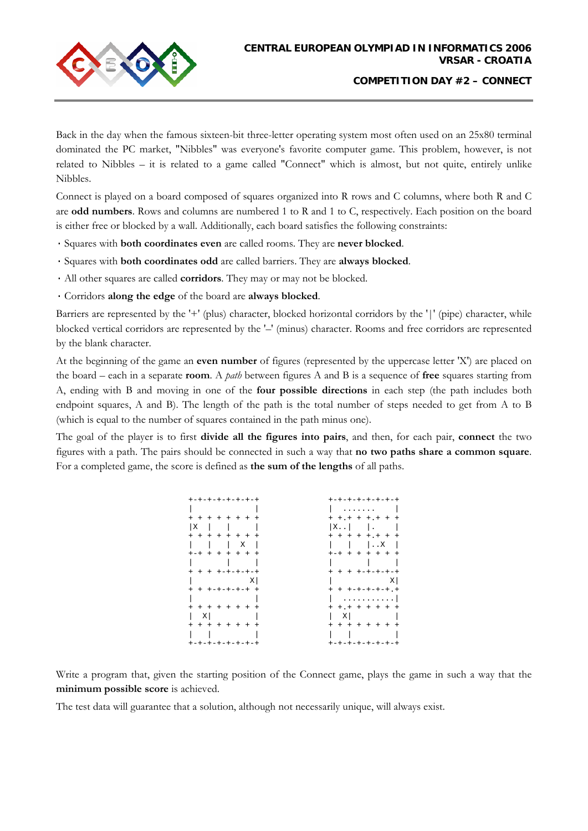

Back in the day when the famous sixteen-bit three-letter operating system most often used on an 25x80 terminal dominated the PC market, "Nibbles" was everyone's favorite computer game. This problem, however, is not related to Nibbles – it is related to a game called "Connect" which is almost, but not quite, entirely unlike Nibbles.

Connect is played on a board composed of squares organized into R rows and C columns, where both R and C are **odd numbers**. Rows and columns are numbered 1 to R and 1 to C, respectively. Each position on the board is either free or blocked by a wall. Additionally, each board satisfies the following constraints:

- · Squares with **both coordinates even** are called rooms. They are **never blocked**.
- · Squares with **both coordinates odd** are called barriers. They are **always blocked**.
- · All other squares are called **corridors**. They may or may not be blocked.
- · Corridors **along the edge** of the board are **always blocked**.

Barriers are represented by the '+' (plus) character, blocked horizontal corridors by the '|' (pipe) character, while blocked vertical corridors are represented by the '–' (minus) character. Rooms and free corridors are represented by the blank character.

At the beginning of the game an **even number** of figures (represented by the uppercase letter 'X') are placed on the board – each in a separate **room**. A *path* between figures A and B is a sequence of **free** squares starting from A, ending with B and moving in one of the **four possible directions** in each step (the path includes both endpoint squares, A and B). The length of the path is the total number of steps needed to get from A to B (which is equal to the number of squares contained in the path minus one).

The goal of the player is to first **divide all the figures into pairs**, and then, for each pair, **connect** the two figures with a path. The pairs should be connected in such a way that **no two paths share a common square**. For a completed game, the score is defined as **the sum of the lengths** of all paths.

| +-+-+-+-+-+-+-+       | +-+-+-+-+-+-+-+                |
|-----------------------|--------------------------------|
|                       | .                              |
| + + + + + + + +       | $+ + + + + + + + + +$          |
| ΙX                    | $ X_{\cdot} \cdot  $ $  \cdot$ |
| + + + + + + + +       | + + + + + + + +                |
| $\overline{X}$        | $ \cdot $ .X                   |
| $+ - + + + + + + + +$ | $+ - + + + + + + + +$          |
|                       |                                |
| + + + +-+-+-+-+       | + + + +-+-+-+-+                |
| – X I                 | - X I                          |
| + + +-+-+-+-+ +       | $+$ + +-+-+-+-+.+              |
|                       | . 1                            |
| + + + + + + + +       | $+ + + + + + + + +$            |
| X                     | ΧI                             |
| + + + + + + + +       | + + + + + + + +                |
|                       |                                |
| +-+-+-+-+-+-+-+       | +-+-+-+-+-+-+-+                |

Write a program that, given the starting position of the Connect game, plays the game in such a way that the **minimum possible score** is achieved.

The test data will guarantee that a solution, although not necessarily unique, will always exist.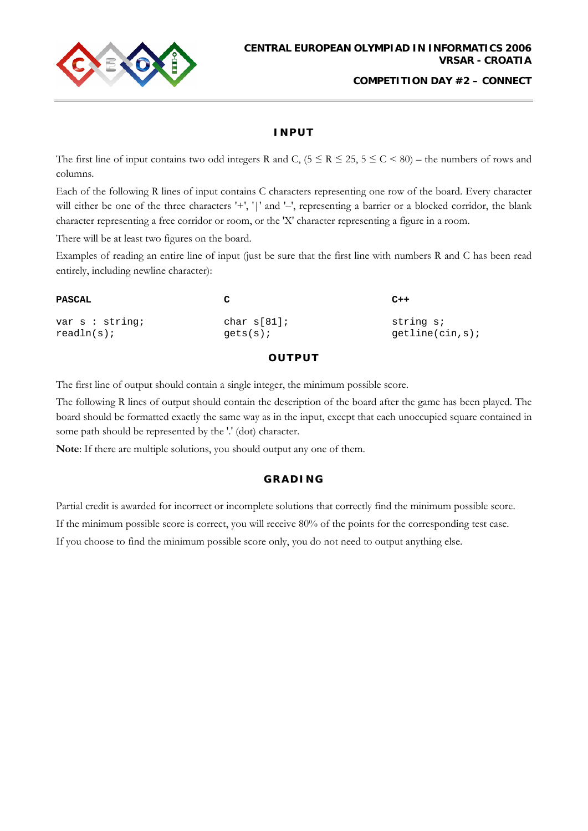

**COMPETITION DAY #2 – CONNECT**

## **INPUT**

The first line of input contains two odd integers R and C,  $(5 \le R \le 25, 5 \le C \le 80)$  – the numbers of rows and columns.

Each of the following R lines of input contains C characters representing one row of the board. Every character will either be one of the three characters '+', '|' and '-', representing a barrier or a blocked corridor, the blank character representing a free corridor or room, or the 'X' character representing a figure in a room.

There will be at least two figures on the board.

Examples of reading an entire line of input (just be sure that the first line with numbers R and C has been read entirely, including newline character):

| <b>PASCAL</b>     | $\mathbf{C}$   | $C++$           |
|-------------------|----------------|-----------------|
| var $s$ : string; | char $s[81]$ ; | string s;       |
| $readln(s)$ ;     | $qets(s)$ ;    | qetline(cin,s); |

## **OUTPUT**

The first line of output should contain a single integer, the minimum possible score.

The following R lines of output should contain the description of the board after the game has been played. The board should be formatted exactly the same way as in the input, except that each unoccupied square contained in some path should be represented by the '.' (dot) character.

**Note**: If there are multiple solutions, you should output any one of them.

## **GRADING**

Partial credit is awarded for incorrect or incomplete solutions that correctly find the minimum possible score.

If the minimum possible score is correct, you will receive 80% of the points for the corresponding test case.

If you choose to find the minimum possible score only, you do not need to output anything else.